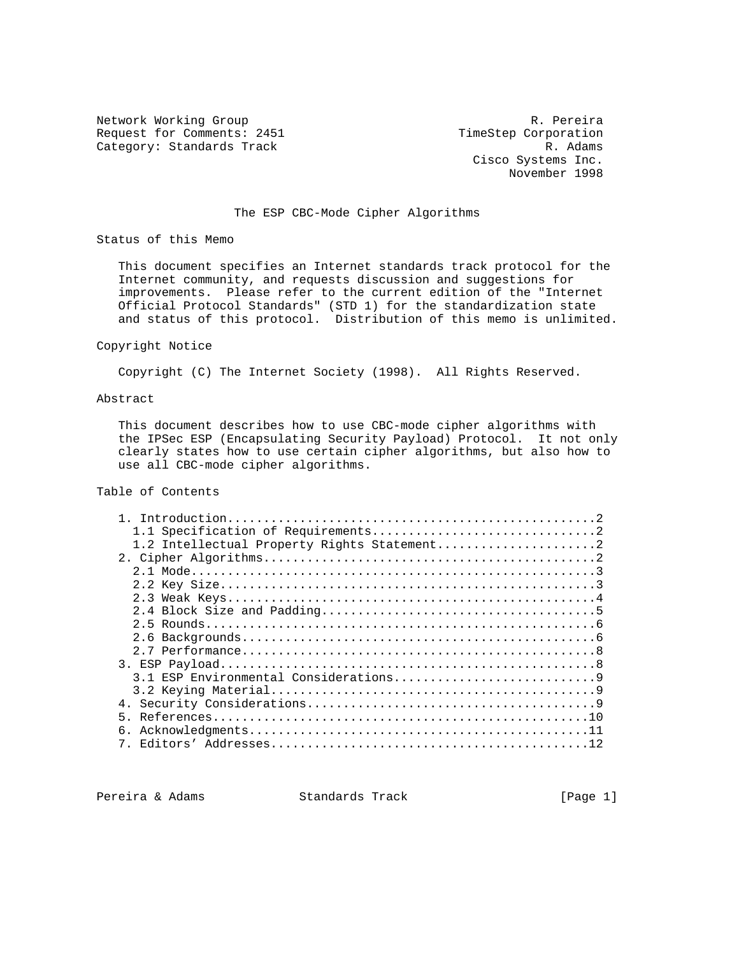Network Working Group and Communications of the R. Pereira Request for Comments: 2451 TimeStep Corporation<br>Category: Standards Track R. Adams Category: Standards Track

 Cisco Systems Inc. November 1998

## The ESP CBC-Mode Cipher Algorithms

Status of this Memo

 This document specifies an Internet standards track protocol for the Internet community, and requests discussion and suggestions for improvements. Please refer to the current edition of the "Internet Official Protocol Standards" (STD 1) for the standardization state and status of this protocol. Distribution of this memo is unlimited.

#### Copyright Notice

Copyright (C) The Internet Society (1998). All Rights Reserved.

#### Abstract

 This document describes how to use CBC-mode cipher algorithms with the IPSec ESP (Encapsulating Security Payload) Protocol. It not only clearly states how to use certain cipher algorithms, but also how to use all CBC-mode cipher algorithms.

# Table of Contents

Pereira & Adams Standards Track [Page 1]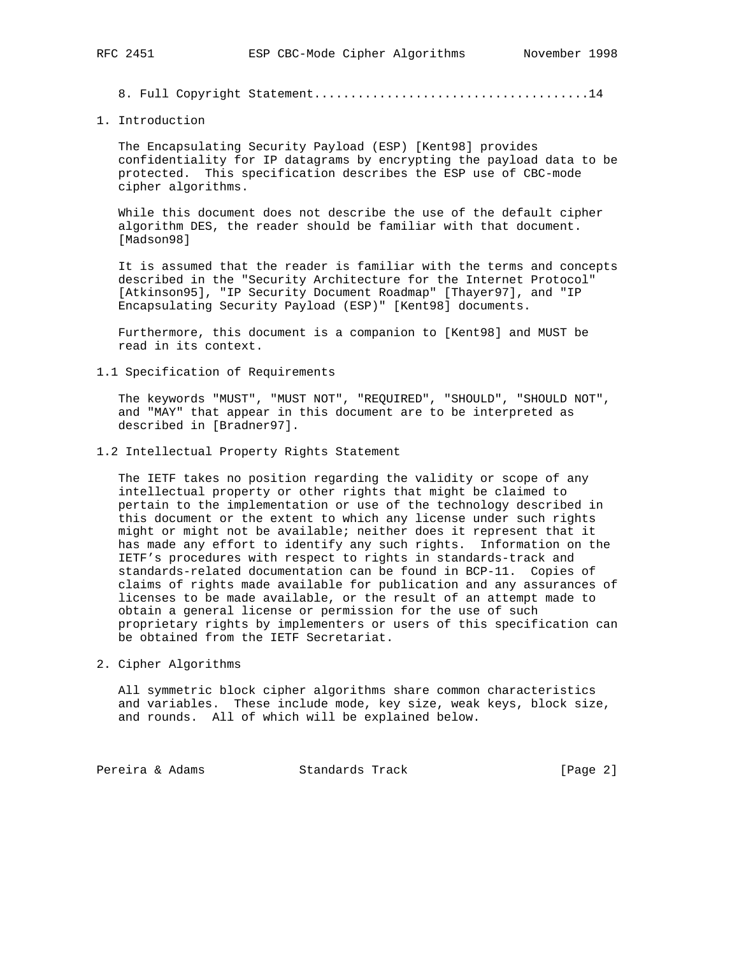8. Full Copyright Statement......................................14

1. Introduction

 The Encapsulating Security Payload (ESP) [Kent98] provides confidentiality for IP datagrams by encrypting the payload data to be protected. This specification describes the ESP use of CBC-mode cipher algorithms.

 While this document does not describe the use of the default cipher algorithm DES, the reader should be familiar with that document. [Madson98]

 It is assumed that the reader is familiar with the terms and concepts described in the "Security Architecture for the Internet Protocol" [Atkinson95], "IP Security Document Roadmap" [Thayer97], and "IP Encapsulating Security Payload (ESP)" [Kent98] documents.

 Furthermore, this document is a companion to [Kent98] and MUST be read in its context.

1.1 Specification of Requirements

 The keywords "MUST", "MUST NOT", "REQUIRED", "SHOULD", "SHOULD NOT", and "MAY" that appear in this document are to be interpreted as described in [Bradner97].

1.2 Intellectual Property Rights Statement

 The IETF takes no position regarding the validity or scope of any intellectual property or other rights that might be claimed to pertain to the implementation or use of the technology described in this document or the extent to which any license under such rights might or might not be available; neither does it represent that it has made any effort to identify any such rights. Information on the IETF's procedures with respect to rights in standards-track and standards-related documentation can be found in BCP-11. Copies of claims of rights made available for publication and any assurances of licenses to be made available, or the result of an attempt made to obtain a general license or permission for the use of such proprietary rights by implementers or users of this specification can be obtained from the IETF Secretariat.

2. Cipher Algorithms

 All symmetric block cipher algorithms share common characteristics and variables. These include mode, key size, weak keys, block size, and rounds. All of which will be explained below.

Pereira & Adams **Standards Track** [Page 2]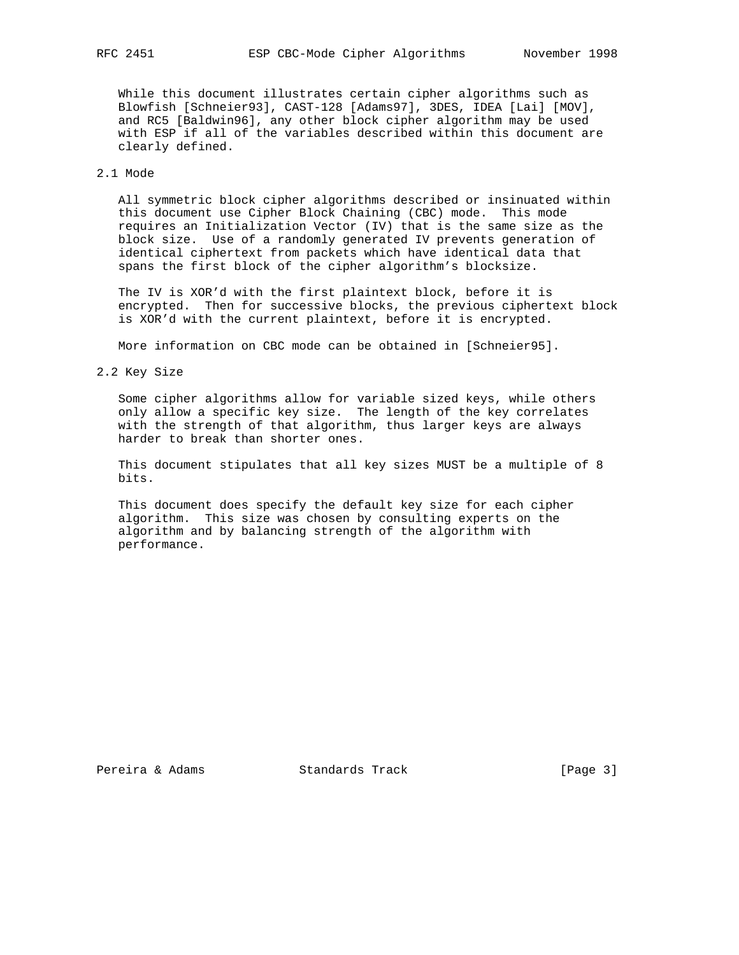While this document illustrates certain cipher algorithms such as Blowfish [Schneier93], CAST-128 [Adams97], 3DES, IDEA [Lai] [MOV], and RC5 [Baldwin96], any other block cipher algorithm may be used with ESP if all of the variables described within this document are clearly defined.

# 2.1 Mode

 All symmetric block cipher algorithms described or insinuated within this document use Cipher Block Chaining (CBC) mode. This mode requires an Initialization Vector (IV) that is the same size as the block size. Use of a randomly generated IV prevents generation of identical ciphertext from packets which have identical data that spans the first block of the cipher algorithm's blocksize.

 The IV is XOR'd with the first plaintext block, before it is encrypted. Then for successive blocks, the previous ciphertext block is XOR'd with the current plaintext, before it is encrypted.

More information on CBC mode can be obtained in [Schneier95].

2.2 Key Size

 Some cipher algorithms allow for variable sized keys, while others only allow a specific key size. The length of the key correlates with the strength of that algorithm, thus larger keys are always harder to break than shorter ones.

 This document stipulates that all key sizes MUST be a multiple of 8 bits.

 This document does specify the default key size for each cipher algorithm. This size was chosen by consulting experts on the algorithm and by balancing strength of the algorithm with performance.

Pereira & Adams Standards Track [Page 3]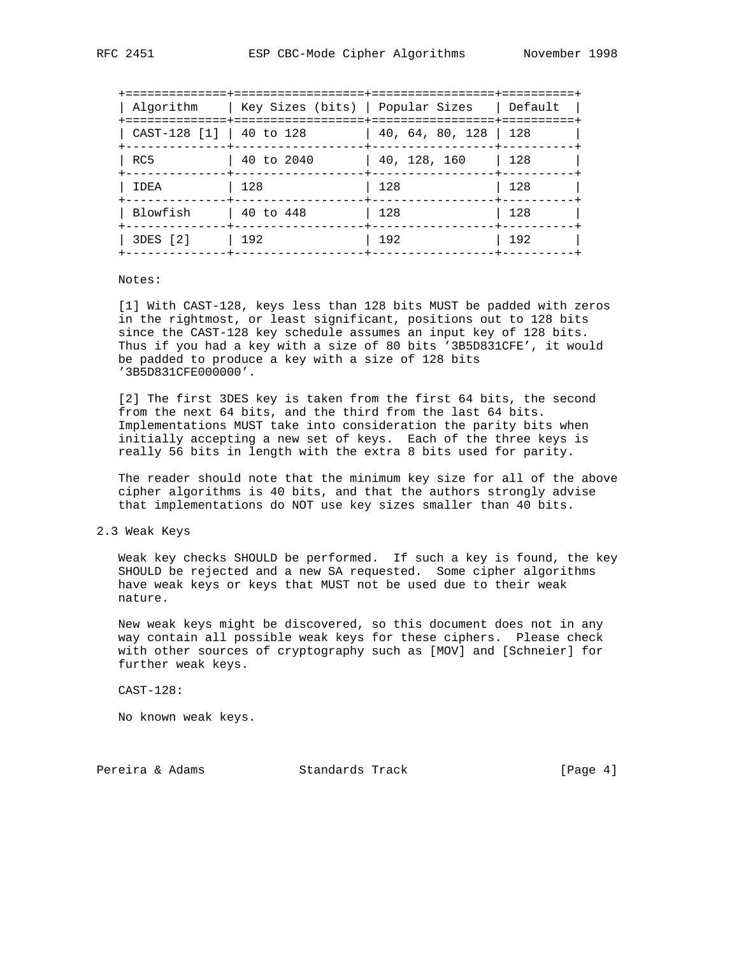| Algorithm                | Key Sizes (bits)   Popular Sizes |                                                                    | Default |
|--------------------------|----------------------------------|--------------------------------------------------------------------|---------|
| CAST-128 [1]   40 to 128 |                                  | $\vert$ 40, 64, 80, 128 $\vert$ 128<br>----+-----------------+---- |         |
| RC5                      | 40 to 2040                       | $\vert$ 40, 128, 160                                               | 128     |
| IDEA                     | 128                              | 128                                                                | 128     |
| Blowfish                 | 40 to 448                        | 128                                                                | 128     |
| 3DES [2]                 | 192                              | 192                                                                | 192     |
|                          |                                  |                                                                    |         |

Notes:

 [1] With CAST-128, keys less than 128 bits MUST be padded with zeros in the rightmost, or least significant, positions out to 128 bits since the CAST-128 key schedule assumes an input key of 128 bits. Thus if you had a key with a size of 80 bits '3B5D831CFE', it would be padded to produce a key with a size of 128 bits '3B5D831CFE000000'.

 [2] The first 3DES key is taken from the first 64 bits, the second from the next 64 bits, and the third from the last 64 bits. Implementations MUST take into consideration the parity bits when initially accepting a new set of keys. Each of the three keys is really 56 bits in length with the extra 8 bits used for parity.

 The reader should note that the minimum key size for all of the above cipher algorithms is 40 bits, and that the authors strongly advise that implementations do NOT use key sizes smaller than 40 bits.

#### 2.3 Weak Keys

 Weak key checks SHOULD be performed. If such a key is found, the key SHOULD be rejected and a new SA requested. Some cipher algorithms have weak keys or keys that MUST not be used due to their weak nature.

 New weak keys might be discovered, so this document does not in any way contain all possible weak keys for these ciphers. Please check with other sources of cryptography such as [MOV] and [Schneier] for further weak keys.

CAST-128:

No known weak keys.

Pereira & Adams Standards Track [Page 4]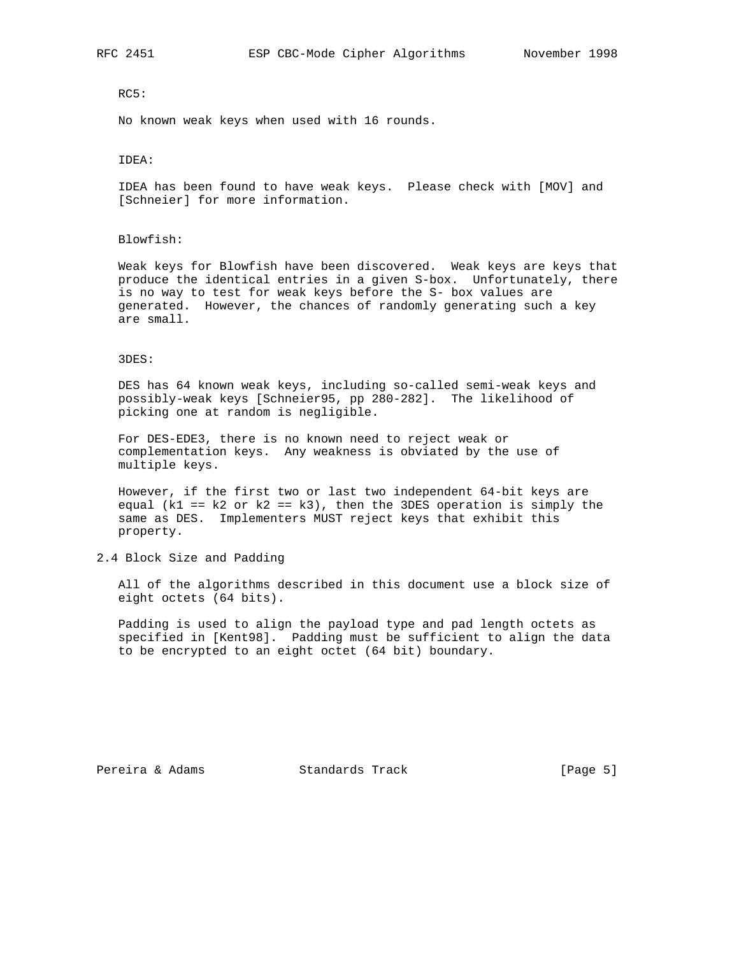## RC5:

No known weak keys when used with 16 rounds.

#### IDEA:

 IDEA has been found to have weak keys. Please check with [MOV] and [Schneier] for more information.

#### Blowfish:

 Weak keys for Blowfish have been discovered. Weak keys are keys that produce the identical entries in a given S-box. Unfortunately, there is no way to test for weak keys before the S- box values are generated. However, the chances of randomly generating such a key are small.

#### 3DES:

 DES has 64 known weak keys, including so-called semi-weak keys and possibly-weak keys [Schneier95, pp 280-282]. The likelihood of picking one at random is negligible.

 For DES-EDE3, there is no known need to reject weak or complementation keys. Any weakness is obviated by the use of multiple keys.

 However, if the first two or last two independent 64-bit keys are equal (k1 ==  $k2$  or  $k2$  ==  $k3$ ), then the 3DES operation is simply the same as DES. Implementers MUST reject keys that exhibit this property.

## 2.4 Block Size and Padding

 All of the algorithms described in this document use a block size of eight octets (64 bits).

 Padding is used to align the payload type and pad length octets as specified in [Kent98]. Padding must be sufficient to align the data to be encrypted to an eight octet (64 bit) boundary.

Pereira & Adams Standards Track [Page 5]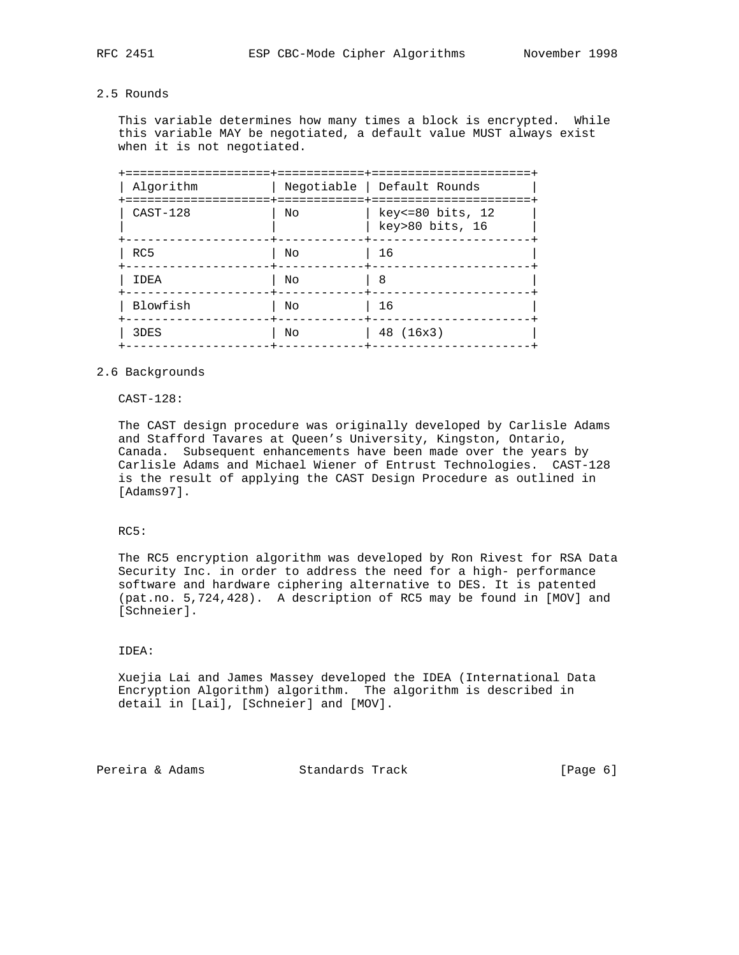# 2.5 Rounds

 This variable determines how many times a block is encrypted. While this variable MAY be negotiated, a default value MUST always exist when it is not negotiated.

|    | ==================                  |
|----|-------------------------------------|
|    | Negotiable   Default Rounds         |
| Nο | key<=80 bits, 12<br>key>80 bits, 16 |
| Nο | 16                                  |
| Nο | 8                                   |
| No | 16                                  |
| Nο | 48 (16x3)                           |
|    | ==============+=======              |

#### 2.6 Backgrounds

#### CAST-128:

 The CAST design procedure was originally developed by Carlisle Adams and Stafford Tavares at Queen's University, Kingston, Ontario, Canada. Subsequent enhancements have been made over the years by Carlisle Adams and Michael Wiener of Entrust Technologies. CAST-128 is the result of applying the CAST Design Procedure as outlined in [Adams97].

## RC5:

 The RC5 encryption algorithm was developed by Ron Rivest for RSA Data Security Inc. in order to address the need for a high- performance software and hardware ciphering alternative to DES. It is patented (pat.no. 5,724,428). A description of RC5 may be found in [MOV] and [Schneier].

#### IDEA:

 Xuejia Lai and James Massey developed the IDEA (International Data Encryption Algorithm) algorithm. The algorithm is described in detail in [Lai], [Schneier] and [MOV].

Pereira & Adams Standards Track (Page 6)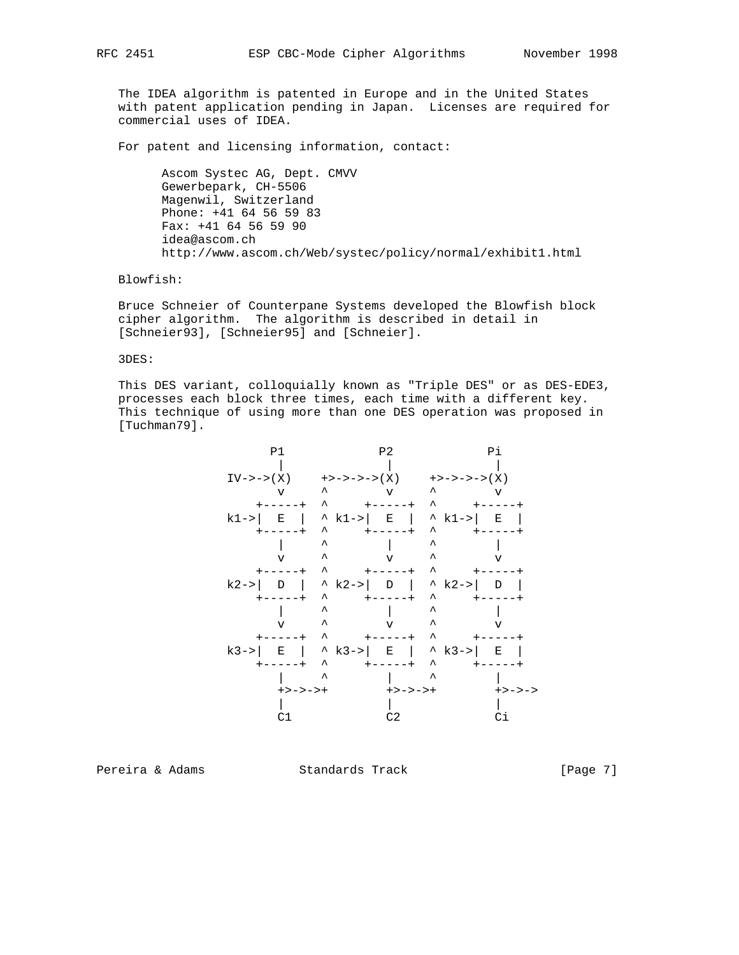The IDEA algorithm is patented in Europe and in the United States with patent application pending in Japan. Licenses are required for commercial uses of IDEA.

For patent and licensing information, contact:

 Ascom Systec AG, Dept. CMVV Gewerbepark, CH-5506 Magenwil, Switzerland Phone: +41 64 56 59 83 Fax: +41 64 56 59 90 idea@ascom.ch http://www.ascom.ch/Web/systec/policy/normal/exhibit1.html

Blowfish:

 Bruce Schneier of Counterpane Systems developed the Blowfish block cipher algorithm. The algorithm is described in detail in [Schneier93], [Schneier95] and [Schneier].

3DES:

 This DES variant, colloquially known as "Triple DES" or as DES-EDE3, processes each block three times, each time with a different key. This technique of using more than one DES operation was proposed in [Tuchman79].



Pereira & Adams **Standards Track** [Page 7]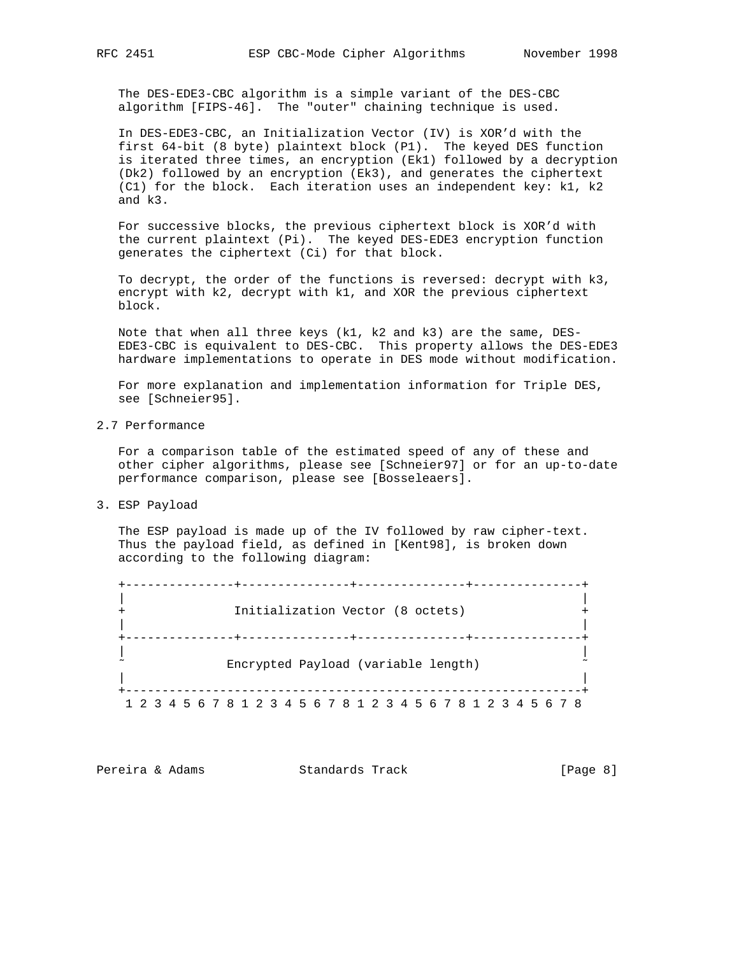The DES-EDE3-CBC algorithm is a simple variant of the DES-CBC algorithm [FIPS-46]. The "outer" chaining technique is used.

 In DES-EDE3-CBC, an Initialization Vector (IV) is XOR'd with the first 64-bit (8 byte) plaintext block (P1). The keyed DES function is iterated three times, an encryption (Ek1) followed by a decryption (Dk2) followed by an encryption (Ek3), and generates the ciphertext (C1) for the block. Each iteration uses an independent key: k1, k2 and k3.

 For successive blocks, the previous ciphertext block is XOR'd with the current plaintext (Pi). The keyed DES-EDE3 encryption function generates the ciphertext (Ci) for that block.

 To decrypt, the order of the functions is reversed: decrypt with k3, encrypt with k2, decrypt with k1, and XOR the previous ciphertext block.

 Note that when all three keys (k1, k2 and k3) are the same, DES- EDE3-CBC is equivalent to DES-CBC. This property allows the DES-EDE3 hardware implementations to operate in DES mode without modification.

 For more explanation and implementation information for Triple DES, see [Schneier95].

2.7 Performance

 For a comparison table of the estimated speed of any of these and other cipher algorithms, please see [Schneier97] or for an up-to-date performance comparison, please see [Bosseleaers].

3. ESP Payload

 The ESP payload is made up of the IV followed by raw cipher-text. Thus the payload field, as defined in [Kent98], is broken down according to the following diagram:

|                                                                 |  |  |  |  |  |  | -----------+-------<br>Initialization Vector (8 octets)   |  |  |  |  |  |  |  |  |  |
|-----------------------------------------------------------------|--|--|--|--|--|--|-----------------------------------------------------------|--|--|--|--|--|--|--|--|--|
|                                                                 |  |  |  |  |  |  | ---------+--------<br>Encrypted Payload (variable length) |  |  |  |  |  |  |  |  |  |
| 1 2 3 4 5 6 7 8 1 2 3 4 5 6 7 8 1 2 3 4 5 6 7 8 1 2 3 4 5 6 7 8 |  |  |  |  |  |  |                                                           |  |  |  |  |  |  |  |  |  |

Pereira & Adams Standards Track [Page 8]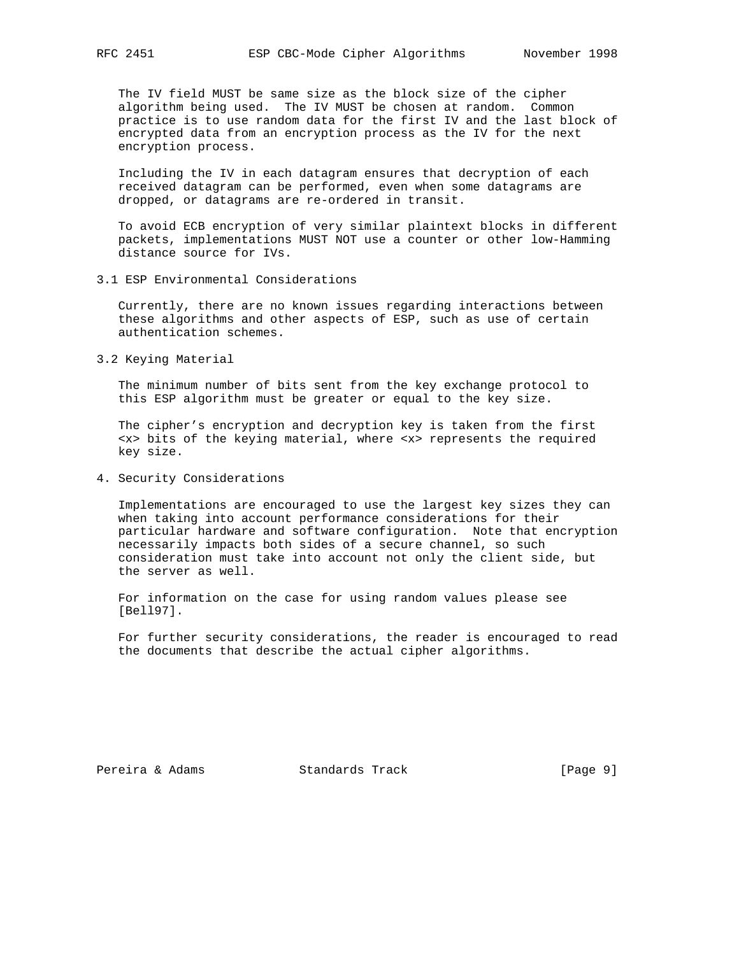The IV field MUST be same size as the block size of the cipher algorithm being used. The IV MUST be chosen at random. Common practice is to use random data for the first IV and the last block of encrypted data from an encryption process as the IV for the next encryption process.

 Including the IV in each datagram ensures that decryption of each received datagram can be performed, even when some datagrams are dropped, or datagrams are re-ordered in transit.

 To avoid ECB encryption of very similar plaintext blocks in different packets, implementations MUST NOT use a counter or other low-Hamming distance source for IVs.

3.1 ESP Environmental Considerations

 Currently, there are no known issues regarding interactions between these algorithms and other aspects of ESP, such as use of certain authentication schemes.

3.2 Keying Material

 The minimum number of bits sent from the key exchange protocol to this ESP algorithm must be greater or equal to the key size.

 The cipher's encryption and decryption key is taken from the first <x> bits of the keying material, where <x> represents the required key size.

4. Security Considerations

 Implementations are encouraged to use the largest key sizes they can when taking into account performance considerations for their particular hardware and software configuration. Note that encryption necessarily impacts both sides of a secure channel, so such consideration must take into account not only the client side, but the server as well.

 For information on the case for using random values please see [Bell97].

 For further security considerations, the reader is encouraged to read the documents that describe the actual cipher algorithms.

Pereira & Adams Standards Track [Page 9]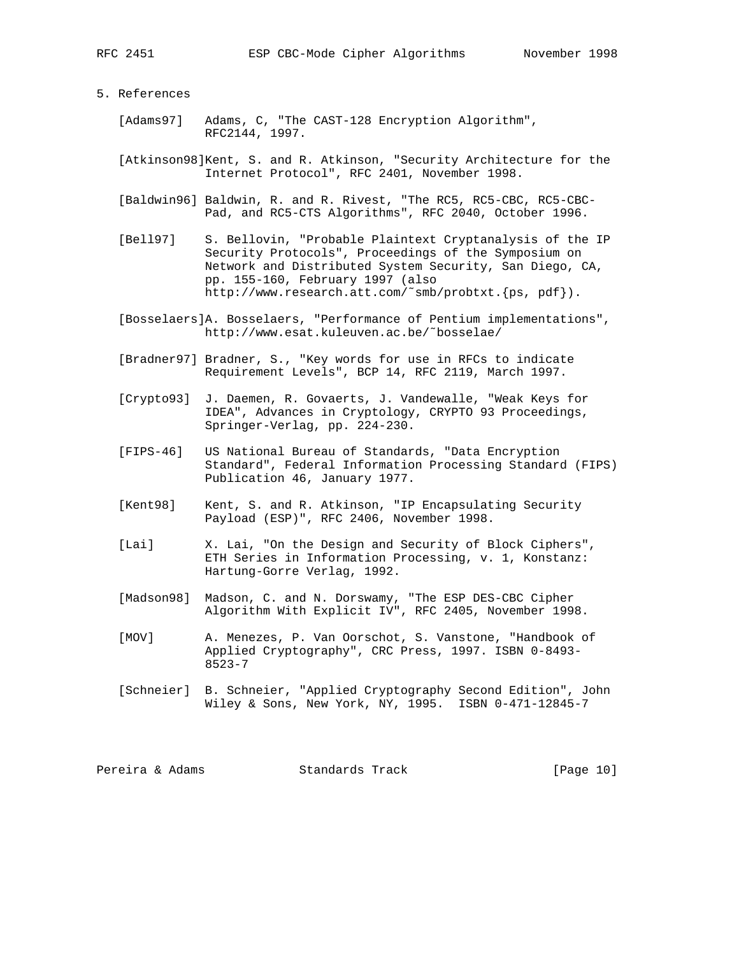#### 5. References

- [Adams97] Adams, C, "The CAST-128 Encryption Algorithm", RFC2144, 1997.
- [Atkinson98]Kent, S. and R. Atkinson, "Security Architecture for the Internet Protocol", RFC 2401, November 1998.
- [Baldwin96] Baldwin, R. and R. Rivest, "The RC5, RC5-CBC, RC5-CBC- Pad, and RC5-CTS Algorithms", RFC 2040, October 1996.
- [Bell97] S. Bellovin, "Probable Plaintext Cryptanalysis of the IP Security Protocols", Proceedings of the Symposium on Network and Distributed System Security, San Diego, CA, pp. 155-160, February 1997 (also http://www.research.att.com/˜smb/probtxt.{ps, pdf}).
- [Bosselaers]A. Bosselaers, "Performance of Pentium implementations", http://www.esat.kuleuven.ac.be/˜bosselae/
- [Bradner97] Bradner, S., "Key words for use in RFCs to indicate Requirement Levels", BCP 14, RFC 2119, March 1997.
- [Crypto93] J. Daemen, R. Govaerts, J. Vandewalle, "Weak Keys for IDEA", Advances in Cryptology, CRYPTO 93 Proceedings, Springer-Verlag, pp. 224-230.
- [FIPS-46] US National Bureau of Standards, "Data Encryption Standard", Federal Information Processing Standard (FIPS) Publication 46, January 1977.
- [Kent98] Kent, S. and R. Atkinson, "IP Encapsulating Security Payload (ESP)", RFC 2406, November 1998.
- [Lai] X. Lai, "On the Design and Security of Block Ciphers", ETH Series in Information Processing, v. 1, Konstanz: Hartung-Gorre Verlag, 1992.
- [Madson98] Madson, C. and N. Dorswamy, "The ESP DES-CBC Cipher Algorithm With Explicit IV", RFC 2405, November 1998.
	- [MOV] A. Menezes, P. Van Oorschot, S. Vanstone, "Handbook of Applied Cryptography", CRC Press, 1997. ISBN 0-8493- 8523-7
	- [Schneier] B. Schneier, "Applied Cryptography Second Edition", John Wiley & Sons, New York, NY, 1995. ISBN 0-471-12845-7

Pereira & Adams Standards Track [Page 10]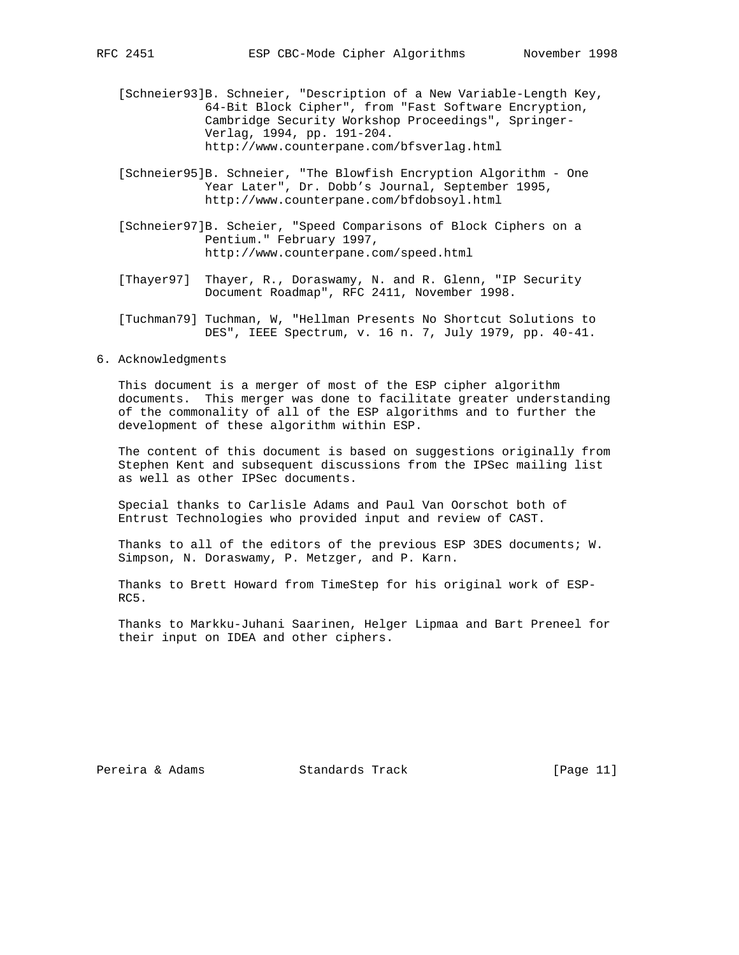[Schneier93]B. Schneier, "Description of a New Variable-Length Key, 64-Bit Block Cipher", from "Fast Software Encryption, Cambridge Security Workshop Proceedings", Springer- Verlag, 1994, pp. 191-204. http://www.counterpane.com/bfsverlag.html

- [Schneier95]B. Schneier, "The Blowfish Encryption Algorithm One Year Later", Dr. Dobb's Journal, September 1995, http://www.counterpane.com/bfdobsoyl.html
- [Schneier97]B. Scheier, "Speed Comparisons of Block Ciphers on a Pentium." February 1997, http://www.counterpane.com/speed.html
- [Thayer97] Thayer, R., Doraswamy, N. and R. Glenn, "IP Security Document Roadmap", RFC 2411, November 1998.
- [Tuchman79] Tuchman, W, "Hellman Presents No Shortcut Solutions to DES", IEEE Spectrum, v. 16 n. 7, July 1979, pp. 40-41.
- 6. Acknowledgments

 This document is a merger of most of the ESP cipher algorithm documents. This merger was done to facilitate greater understanding of the commonality of all of the ESP algorithms and to further the development of these algorithm within ESP.

 The content of this document is based on suggestions originally from Stephen Kent and subsequent discussions from the IPSec mailing list as well as other IPSec documents.

 Special thanks to Carlisle Adams and Paul Van Oorschot both of Entrust Technologies who provided input and review of CAST.

Thanks to all of the editors of the previous ESP 3DES documents; W. Simpson, N. Doraswamy, P. Metzger, and P. Karn.

 Thanks to Brett Howard from TimeStep for his original work of ESP- RC5.

 Thanks to Markku-Juhani Saarinen, Helger Lipmaa and Bart Preneel for their input on IDEA and other ciphers.

Pereira & Adams Standards Track [Page 11]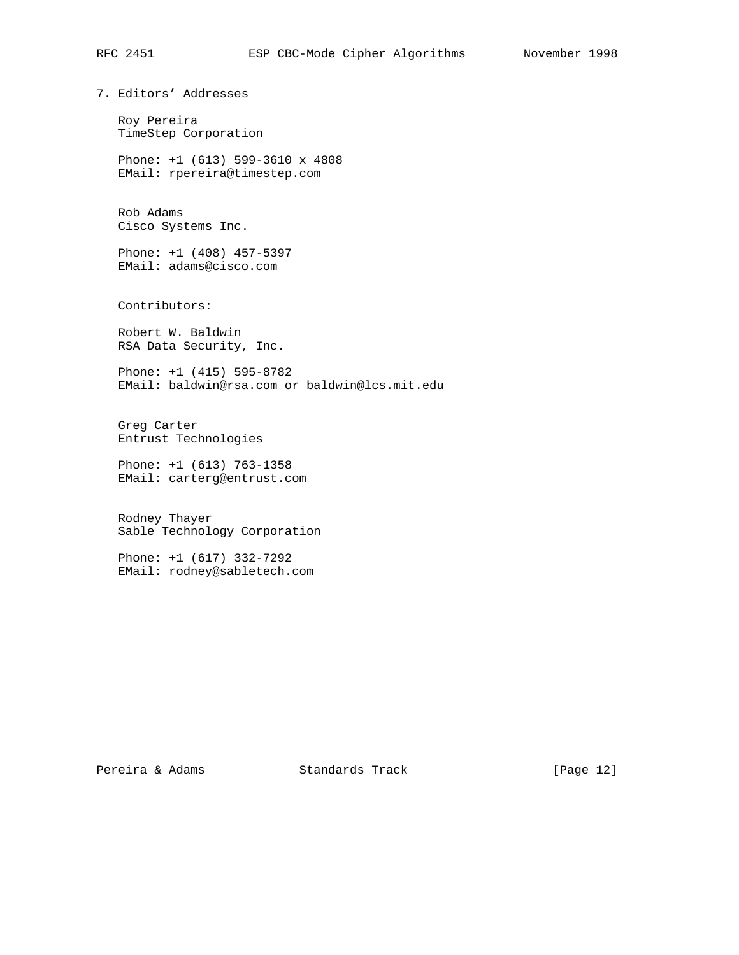# RFC 2451 ESP CBC-Mode Cipher Algorithms November 1998

7. Editors' Addresses

 Roy Pereira TimeStep Corporation

 Phone: +1 (613) 599-3610 x 4808 EMail: rpereira@timestep.com

 Rob Adams Cisco Systems Inc.

 Phone: +1 (408) 457-5397 EMail: adams@cisco.com

Contributors:

 Robert W. Baldwin RSA Data Security, Inc.

 Phone: +1 (415) 595-8782 EMail: baldwin@rsa.com or baldwin@lcs.mit.edu

 Greg Carter Entrust Technologies

 Phone: +1 (613) 763-1358 EMail: carterg@entrust.com

 Rodney Thayer Sable Technology Corporation

 Phone: +1 (617) 332-7292 EMail: rodney@sabletech.com

Pereira & Adams Standards Track [Page 12]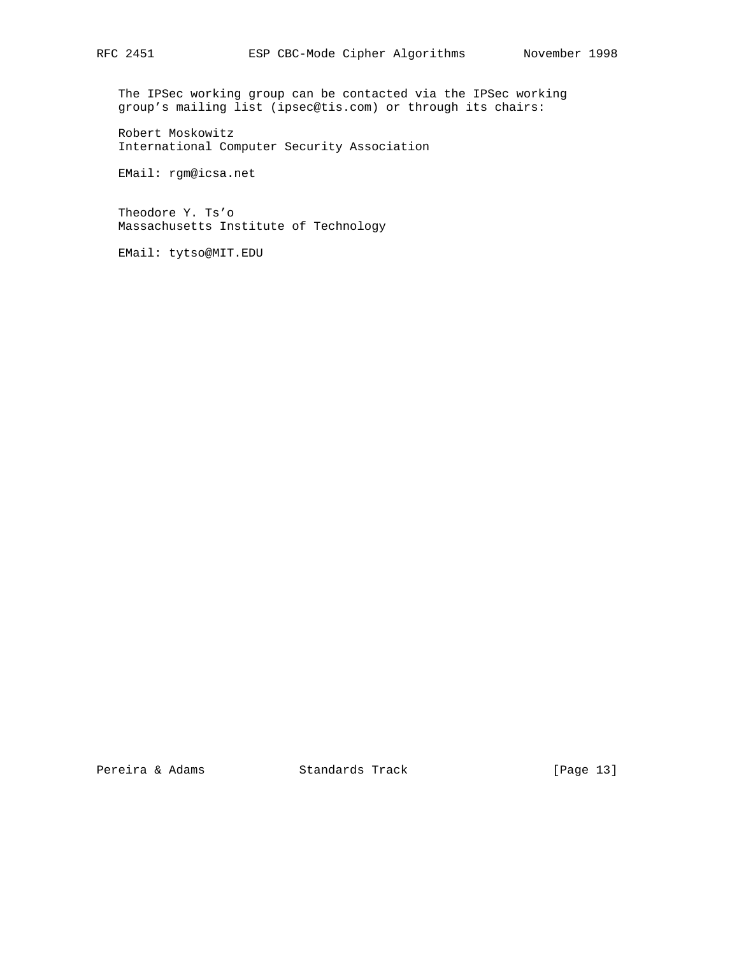The IPSec working group can be contacted via the IPSec working group's mailing list (ipsec@tis.com) or through its chairs:

 Robert Moskowitz International Computer Security Association

EMail: rgm@icsa.net

 Theodore Y. Ts'o Massachusetts Institute of Technology

EMail: tytso@MIT.EDU

Pereira & Adams Standards Track [Page 13]